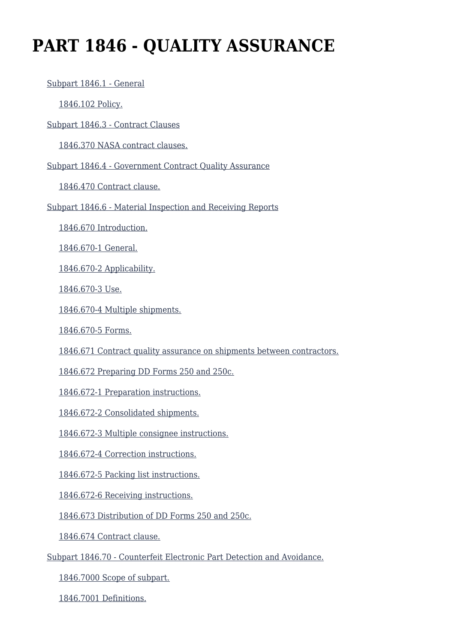# **PART 1846 - QUALITY ASSURANCE**

 [Subpart 1846.1 - General](https://login.acquisition.gov/%5Brp:link:nfs-part-1846%5D#Subpart_1846_1_T48_60422391) [1846.102 Policy.](https://login.acquisition.gov/%5Brp:link:nfs-part-1846%5D#Section_1846_102_T48_6042239111) [Subpart 1846.3 - Contract Clauses](https://login.acquisition.gov/%5Brp:link:nfs-part-1846%5D#Subpart_1846_3_T48_60422392) [1846.370 NASA contract clauses.](https://login.acquisition.gov/%5Brp:link:nfs-part-1846%5D#Section_1846_370_T48_6042239211) [Subpart 1846.4 - Government Contract Quality Assurance](https://login.acquisition.gov/%5Brp:link:nfs-part-1846%5D#Subpart_1846_4_T48_60422393) [1846.470 Contract clause.](https://login.acquisition.gov/%5Brp:link:nfs-part-1846%5D#Section_1846_470_T48_6042239311) [Subpart 1846.6 - Material Inspection and Receiving Reports](https://login.acquisition.gov/%5Brp:link:nfs-part-1846%5D#Subpart_1846_6_T48_60422394) [1846.670 Introduction.](https://login.acquisition.gov/%5Brp:link:nfs-part-1846%5D#Section_1846_670_T48_6042239411) [1846.670-1 General.](https://login.acquisition.gov/%5Brp:link:nfs-part-1846%5D#Section_1846_670_1_T48_6042239412) [1846.670-2 Applicability.](https://login.acquisition.gov/%5Brp:link:nfs-part-1846%5D#Section_1846_670_2_T48_6042239413) [1846.670-3 Use.](https://login.acquisition.gov/%5Brp:link:nfs-part-1846%5D#Section_1846_670_3_T48_6042239414) [1846.670-4 Multiple shipments.](https://login.acquisition.gov/%5Brp:link:nfs-part-1846%5D#Section_1846_670_4_T48_6042239415) [1846.670-5 Forms.](https://login.acquisition.gov/%5Brp:link:nfs-part-1846%5D#Section_1846_670_5_T48_6042239416) [1846.671 Contract quality assurance on shipments between contractors.](https://login.acquisition.gov/%5Brp:link:nfs-part-1846%5D#Section_1846_671_T48_6042239417) [1846.672 Preparing DD Forms 250 and 250c.](https://login.acquisition.gov/%5Brp:link:nfs-part-1846%5D#Section_1846_672_T48_6042239418) [1846.672-1 Preparation instructions.](https://login.acquisition.gov/%5Brp:link:nfs-part-1846%5D#Section_1846_672_1_T48_6042239419) [1846.672-2 Consolidated shipments.](https://login.acquisition.gov/%5Brp:link:nfs-part-1846%5D#Section_1846_672_2_T48_60422394110) [1846.672-3 Multiple consignee instructions.](https://login.acquisition.gov/%5Brp:link:nfs-part-1846%5D#Section_1846_672_3_T48_60422394111) [1846.672-4 Correction instructions.](https://login.acquisition.gov/%5Brp:link:nfs-part-1846%5D#Section_1846_672_4_T48_60422394112) [1846.672-5 Packing list instructions.](https://login.acquisition.gov/%5Brp:link:nfs-part-1846%5D#Section_1846_672_5_T48_60422394113) [1846.672-6 Receiving instructions.](https://login.acquisition.gov/%5Brp:link:nfs-part-1846%5D#Section_1846_672_6_T48_60422394114) [1846.673 Distribution of DD Forms 250 and 250c.](https://login.acquisition.gov/%5Brp:link:nfs-part-1846%5D#Section_1846_673_T48_60422394115) [1846.674 Contract clause.](https://login.acquisition.gov/%5Brp:link:nfs-part-1846%5D#Section_1846_674_T48_60422394116) [Subpart 1846.70 - Counterfeit Electronic Part Detection and Avoidance.](https://login.acquisition.gov/%5Brp:link:nfs-part-1846%5D#Subpart_1846_70_T48_60422395) [1846.7000 Scope of subpart.](https://login.acquisition.gov/%5Brp:link:nfs-part-1846%5D#Section_1846_7000_T48_6042239511)

[1846.7001 Definitions.](https://login.acquisition.gov/%5Brp:link:nfs-part-1846%5D#Section_1846_7001_T48_6042239512)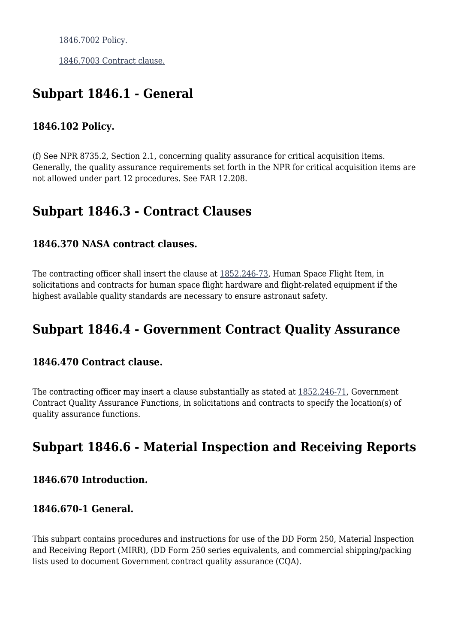[1846.7002 Policy.](https://login.acquisition.gov/%5Brp:link:nfs-part-1846%5D#Section_1846_7002_T48_6042239513)

[1846.7003 Contract clause.](https://login.acquisition.gov/%5Brp:link:nfs-part-1846%5D#Section_1846_7003_T48_6042239514)

# **Subpart 1846.1 - General**

#### **1846.102 Policy.**

(f) See NPR 8735.2, Section 2.1, concerning quality assurance for critical acquisition items. Generally, the quality assurance requirements set forth in the NPR for critical acquisition items are not allowed under part 12 procedures. See FAR 12.208.

# **Subpart 1846.3 - Contract Clauses**

#### **1846.370 NASA contract clauses.**

The contracting officer shall insert the clause at [1852.246-73,](https://login.acquisition.gov/%5Brp:link:nfs-part-1852%5D#Section_1852_246_73_T48_604234411135) Human Space Flight Item, in solicitations and contracts for human space flight hardware and flight-related equipment if the highest available quality standards are necessary to ensure astronaut safety.

# **Subpart 1846.4 - Government Contract Quality Assurance**

#### **1846.470 Contract clause.**

The contracting officer may insert a clause substantially as stated at  $1852.246-71$ , Government Contract Quality Assurance Functions, in solicitations and contracts to specify the location(s) of quality assurance functions.

# **Subpart 1846.6 - Material Inspection and Receiving Reports**

#### **1846.670 Introduction.**

#### **1846.670-1 General.**

This subpart contains procedures and instructions for use of the DD Form 250, Material Inspection and Receiving Report (MIRR), (DD Form 250 series equivalents, and commercial shipping/packing lists used to document Government contract quality assurance (CQA).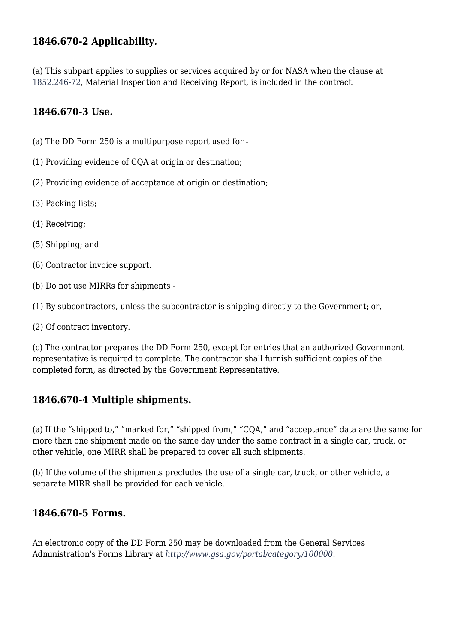### **1846.670-2 Applicability.**

(a) This subpart applies to supplies or services acquired by or for NASA when the clause at [1852.246-72,](https://login.acquisition.gov/%5Brp:link:nfs-part-1852%5D#Section_1852_246_72_T48_604234411134) Material Inspection and Receiving Report, is included in the contract.

#### **1846.670-3 Use.**

- (a) The DD Form 250 is a multipurpose report used for -
- (1) Providing evidence of CQA at origin or destination;
- (2) Providing evidence of acceptance at origin or destination;
- (3) Packing lists;
- (4) Receiving;
- (5) Shipping; and
- (6) Contractor invoice support.
- (b) Do not use MIRRs for shipments -
- (1) By subcontractors, unless the subcontractor is shipping directly to the Government; or,
- (2) Of contract inventory.

(c) The contractor prepares the DD Form 250, except for entries that an authorized Government representative is required to complete. The contractor shall furnish sufficient copies of the completed form, as directed by the Government Representative.

#### **1846.670-4 Multiple shipments.**

(a) If the "shipped to," "marked for," "shipped from," "CQA," and "acceptance" data are the same for more than one shipment made on the same day under the same contract in a single car, truck, or other vehicle, one MIRR shall be prepared to cover all such shipments.

(b) If the volume of the shipments precludes the use of a single car, truck, or other vehicle, a separate MIRR shall be provided for each vehicle.

#### **1846.670-5 Forms.**

An electronic copy of the DD Form 250 may be downloaded from the General Services Administration's Forms Library at *[http://www.gsa.gov/portal/category/100000.](http://www.gsa.gov/portal/category/100000)*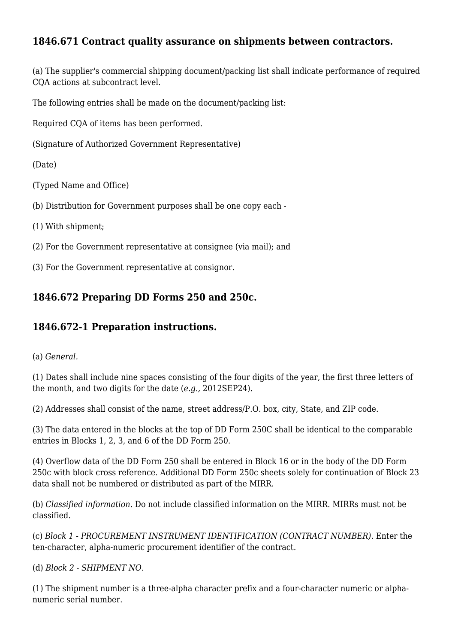# **1846.671 Contract quality assurance on shipments between contractors.**

(a) The supplier's commercial shipping document/packing list shall indicate performance of required CQA actions at subcontract level.

The following entries shall be made on the document/packing list:

Required CQA of items has been performed.

(Signature of Authorized Government Representative)

(Date)

(Typed Name and Office)

- (b) Distribution for Government purposes shall be one copy each -
- (1) With shipment;

(2) For the Government representative at consignee (via mail); and

(3) For the Government representative at consignor.

#### **1846.672 Preparing DD Forms 250 and 250c.**

#### **1846.672-1 Preparation instructions.**

(a) *General.*

(1) Dates shall include nine spaces consisting of the four digits of the year, the first three letters of the month, and two digits for the date (*e.g.,* 2012SEP24).

(2) Addresses shall consist of the name, street address/P.O. box, city, State, and ZIP code.

(3) The data entered in the blocks at the top of DD Form 250C shall be identical to the comparable entries in Blocks 1, 2, 3, and 6 of the DD Form 250.

(4) Overflow data of the DD Form 250 shall be entered in Block 16 or in the body of the DD Form 250c with block cross reference. Additional DD Form 250c sheets solely for continuation of Block 23 data shall not be numbered or distributed as part of the MIRR.

(b) *Classified information.* Do not include classified information on the MIRR. MIRRs must not be classified.

(c) *Block 1 - PROCUREMENT INSTRUMENT IDENTIFICATION (CONTRACT NUMBER).* Enter the ten-character, alpha-numeric procurement identifier of the contract.

(d) *Block 2 - SHIPMENT NO.*

(1) The shipment number is a three-alpha character prefix and a four-character numeric or alphanumeric serial number.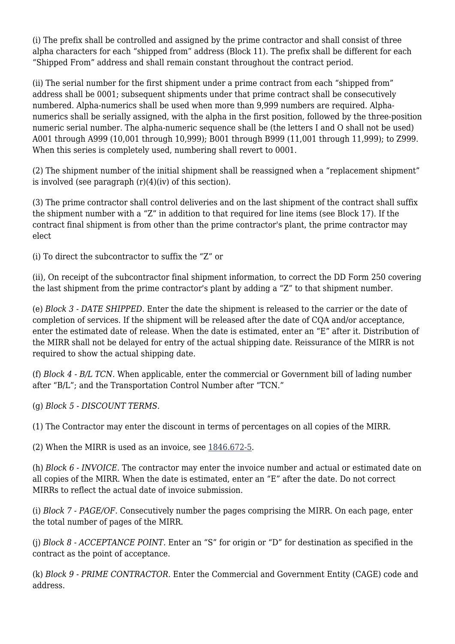(i) The prefix shall be controlled and assigned by the prime contractor and shall consist of three alpha characters for each "shipped from" address (Block 11). The prefix shall be different for each "Shipped From" address and shall remain constant throughout the contract period.

(ii) The serial number for the first shipment under a prime contract from each "shipped from" address shall be 0001; subsequent shipments under that prime contract shall be consecutively numbered. Alpha-numerics shall be used when more than 9,999 numbers are required. Alphanumerics shall be serially assigned, with the alpha in the first position, followed by the three-position numeric serial number. The alpha-numeric sequence shall be (the letters I and O shall not be used) A001 through A999 (10,001 through 10,999); B001 through B999 (11,001 through 11,999); to Z999. When this series is completely used, numbering shall revert to 0001.

(2) The shipment number of the initial shipment shall be reassigned when a "replacement shipment" is involved (see paragraph  $(r)(4)(iv)$  of this section).

(3) The prime contractor shall control deliveries and on the last shipment of the contract shall suffix the shipment number with a "Z" in addition to that required for line items (see Block 17). If the contract final shipment is from other than the prime contractor's plant, the prime contractor may elect

(i) To direct the subcontractor to suffix the "Z" or

(ii), On receipt of the subcontractor final shipment information, to correct the DD Form 250 covering the last shipment from the prime contractor's plant by adding a "Z" to that shipment number.

(e) *Block 3 - DATE SHIPPED.* Enter the date the shipment is released to the carrier or the date of completion of services. If the shipment will be released after the date of CQA and/or acceptance, enter the estimated date of release. When the date is estimated, enter an "E" after it. Distribution of the MIRR shall not be delayed for entry of the actual shipping date. Reissurance of the MIRR is not required to show the actual shipping date.

(f) *Block 4 - B/L TCN.* When applicable, enter the commercial or Government bill of lading number after "B/L"; and the Transportation Control Number after "TCN."

(g) *Block 5 - DISCOUNT TERMS.*

(1) The Contractor may enter the discount in terms of percentages on all copies of the MIRR.

(2) When the MIRR is used as an invoice, see [1846.672-5](https://login.acquisition.gov/%5Brp:link:nfs-part-1846%5D#Section_1846_672_5_T48_60422394113).

(h) *Block 6 - INVOICE.* The contractor may enter the invoice number and actual or estimated date on all copies of the MIRR. When the date is estimated, enter an "E" after the date. Do not correct MIRRs to reflect the actual date of invoice submission.

(i) *Block 7 - PAGE/OF.* Consecutively number the pages comprising the MIRR. On each page, enter the total number of pages of the MIRR.

(j) *Block 8 - ACCEPTANCE POINT.* Enter an "S" for origin or "D" for destination as specified in the contract as the point of acceptance.

(k) *Block 9 - PRIME CONTRACTOR.* Enter the Commercial and Government Entity (CAGE) code and address.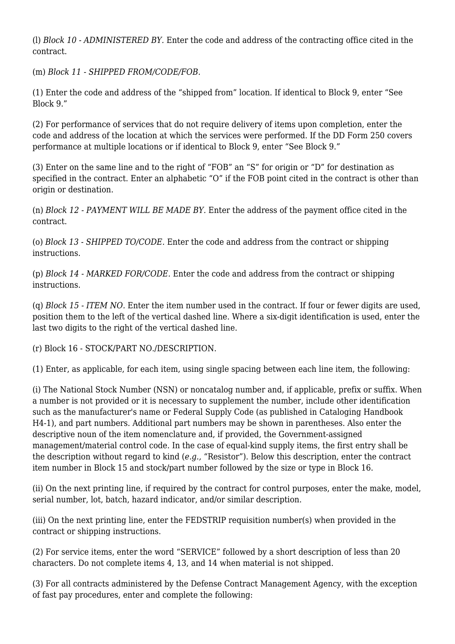(l) *Block 10 - ADMINISTERED BY.* Enter the code and address of the contracting office cited in the contract.

(m) *Block 11 - SHIPPED FROM/CODE/FOB.*

(1) Enter the code and address of the "shipped from" location. If identical to Block 9, enter "See Block 9."

(2) For performance of services that do not require delivery of items upon completion, enter the code and address of the location at which the services were performed. If the DD Form 250 covers performance at multiple locations or if identical to Block 9, enter "See Block 9."

(3) Enter on the same line and to the right of "FOB" an "S" for origin or "D" for destination as specified in the contract. Enter an alphabetic "O" if the FOB point cited in the contract is other than origin or destination.

(n) *Block 12 - PAYMENT WILL BE MADE BY.* Enter the address of the payment office cited in the contract.

(o) *Block 13 - SHIPPED TO/CODE.* Enter the code and address from the contract or shipping instructions.

(p) *Block 14 - MARKED FOR/CODE.* Enter the code and address from the contract or shipping instructions.

(q) *Block 15 - ITEM NO.* Enter the item number used in the contract. If four or fewer digits are used, position them to the left of the vertical dashed line. Where a six-digit identification is used, enter the last two digits to the right of the vertical dashed line.

(r) Block 16 - STOCK/PART NO./DESCRIPTION.

(1) Enter, as applicable, for each item, using single spacing between each line item, the following:

(i) The National Stock Number (NSN) or noncatalog number and, if applicable, prefix or suffix. When a number is not provided or it is necessary to supplement the number, include other identification such as the manufacturer's name or Federal Supply Code (as published in Cataloging Handbook H4-1), and part numbers. Additional part numbers may be shown in parentheses. Also enter the descriptive noun of the item nomenclature and, if provided, the Government-assigned management/material control code. In the case of equal-kind supply items, the first entry shall be the description without regard to kind (*e.g.,* "Resistor"). Below this description, enter the contract item number in Block 15 and stock/part number followed by the size or type in Block 16.

(ii) On the next printing line, if required by the contract for control purposes, enter the make, model, serial number, lot, batch, hazard indicator, and/or similar description.

(iii) On the next printing line, enter the FEDSTRIP requisition number(s) when provided in the contract or shipping instructions.

(2) For service items, enter the word "SERVICE" followed by a short description of less than 20 characters. Do not complete items 4, 13, and 14 when material is not shipped.

(3) For all contracts administered by the Defense Contract Management Agency, with the exception of fast pay procedures, enter and complete the following: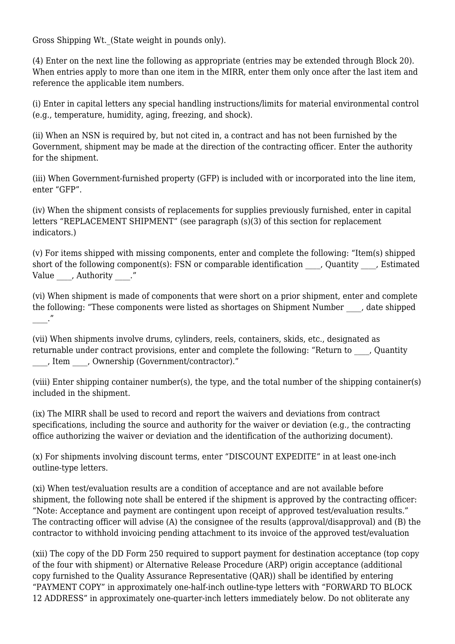Gross Shipping Wt.\_(State weight in pounds only).

(4) Enter on the next line the following as appropriate (entries may be extended through Block 20). When entries apply to more than one item in the MIRR, enter them only once after the last item and reference the applicable item numbers.

(i) Enter in capital letters any special handling instructions/limits for material environmental control (e.g., temperature, humidity, aging, freezing, and shock).

(ii) When an NSN is required by, but not cited in, a contract and has not been furnished by the Government, shipment may be made at the direction of the contracting officer. Enter the authority for the shipment.

(iii) When Government-furnished property (GFP) is included with or incorporated into the line item, enter "GFP".

(iv) When the shipment consists of replacements for supplies previously furnished, enter in capital letters "REPLACEMENT SHIPMENT" (see paragraph (s)(3) of this section for replacement indicators.)

(v) For items shipped with missing components, enter and complete the following: "Item(s) shipped short of the following component(s): FSN or comparable identification \_\_\_\_, Quantity \_\_\_, Estimated Value , Authority ."

(vi) When shipment is made of components that were short on a prior shipment, enter and complete the following: "These components were listed as shortages on Shipment Number , date shipped  $\cdot$   $\cdot$ 

(vii) When shipments involve drums, cylinders, reels, containers, skids, etc., designated as returnable under contract provisions, enter and complete the following: "Return to , Quantity \_\_\_\_, Item \_\_\_\_, Ownership (Government/contractor)."

(viii) Enter shipping container number(s), the type, and the total number of the shipping container(s) included in the shipment.

(ix) The MIRR shall be used to record and report the waivers and deviations from contract specifications, including the source and authority for the waiver or deviation (e.g., the contracting office authorizing the waiver or deviation and the identification of the authorizing document).

(x) For shipments involving discount terms, enter "DISCOUNT EXPEDITE" in at least one-inch outline-type letters.

(xi) When test/evaluation results are a condition of acceptance and are not available before shipment, the following note shall be entered if the shipment is approved by the contracting officer: "Note: Acceptance and payment are contingent upon receipt of approved test/evaluation results." The contracting officer will advise (A) the consignee of the results (approval/disapproval) and (B) the contractor to withhold invoicing pending attachment to its invoice of the approved test/evaluation

(xii) The copy of the DD Form 250 required to support payment for destination acceptance (top copy of the four with shipment) or Alternative Release Procedure (ARP) origin acceptance (additional copy furnished to the Quality Assurance Representative (QAR)) shall be identified by entering "PAYMENT COPY" in approximately one-half-inch outline-type letters with "FORWARD TO BLOCK 12 ADDRESS" in approximately one-quarter-inch letters immediately below. Do not obliterate any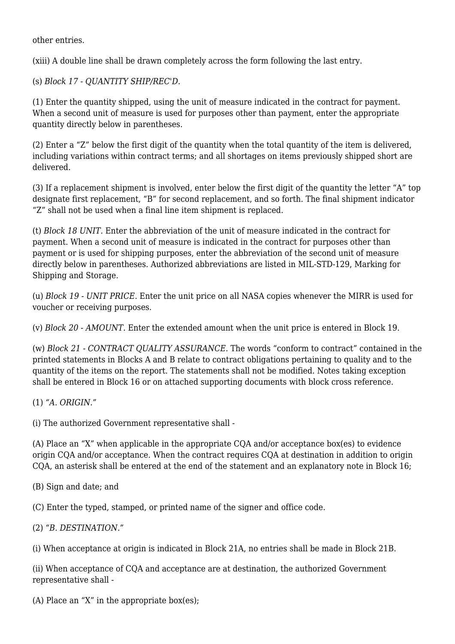other entries.

(xiii) A double line shall be drawn completely across the form following the last entry.

(s) *Block 17 - QUANTITY SHIP/REC'D.*

(1) Enter the quantity shipped, using the unit of measure indicated in the contract for payment. When a second unit of measure is used for purposes other than payment, enter the appropriate quantity directly below in parentheses.

(2) Enter a "Z" below the first digit of the quantity when the total quantity of the item is delivered, including variations within contract terms; and all shortages on items previously shipped short are delivered.

(3) If a replacement shipment is involved, enter below the first digit of the quantity the letter "A" top designate first replacement, "B" for second replacement, and so forth. The final shipment indicator "Z" shall not be used when a final line item shipment is replaced.

(t) *Block 18 UNIT.* Enter the abbreviation of the unit of measure indicated in the contract for payment. When a second unit of measure is indicated in the contract for purposes other than payment or is used for shipping purposes, enter the abbreviation of the second unit of measure directly below in parentheses. Authorized abbreviations are listed in MIL-STD-129, Marking for Shipping and Storage.

(u) *Block 19 - UNIT PRICE.* Enter the unit price on all NASA copies whenever the MIRR is used for voucher or receiving purposes.

(v) *Block 20 - AMOUNT.* Enter the extended amount when the unit price is entered in Block 19.

(w) *Block 21 - CONTRACT QUALITY ASSURANCE.* The words "conform to contract" contained in the printed statements in Blocks A and B relate to contract obligations pertaining to quality and to the quantity of the items on the report. The statements shall not be modified. Notes taking exception shall be entered in Block 16 or on attached supporting documents with block cross reference.

(1) *"A. ORIGIN."*

(i) The authorized Government representative shall -

(A) Place an "X" when applicable in the appropriate CQA and/or acceptance box(es) to evidence origin CQA and/or acceptance. When the contract requires CQA at destination in addition to origin CQA, an asterisk shall be entered at the end of the statement and an explanatory note in Block 16;

(B) Sign and date; and

(C) Enter the typed, stamped, or printed name of the signer and office code.

(2) *"B. DESTINATION."*

(i) When acceptance at origin is indicated in Block 21A, no entries shall be made in Block 21B.

(ii) When acceptance of CQA and acceptance are at destination, the authorized Government representative shall -

(A) Place an "X" in the appropriate box(es);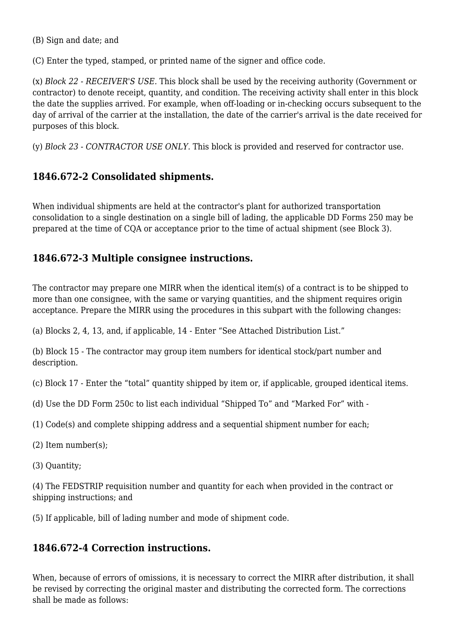(B) Sign and date; and

(C) Enter the typed, stamped, or printed name of the signer and office code.

(x) *Block 22 - RECEIVER'S USE.* This block shall be used by the receiving authority (Government or contractor) to denote receipt, quantity, and condition. The receiving activity shall enter in this block the date the supplies arrived. For example, when off-loading or in-checking occurs subsequent to the day of arrival of the carrier at the installation, the date of the carrier's arrival is the date received for purposes of this block.

(y) *Block 23 - CONTRACTOR USE ONLY.* This block is provided and reserved for contractor use.

### **1846.672-2 Consolidated shipments.**

When individual shipments are held at the contractor's plant for authorized transportation consolidation to a single destination on a single bill of lading, the applicable DD Forms 250 may be prepared at the time of CQA or acceptance prior to the time of actual shipment (see Block 3).

# **1846.672-3 Multiple consignee instructions.**

The contractor may prepare one MIRR when the identical item(s) of a contract is to be shipped to more than one consignee, with the same or varying quantities, and the shipment requires origin acceptance. Prepare the MIRR using the procedures in this subpart with the following changes:

(a) Blocks 2, 4, 13, and, if applicable, 14 - Enter "See Attached Distribution List."

(b) Block 15 - The contractor may group item numbers for identical stock/part number and description.

(c) Block 17 - Enter the "total" quantity shipped by item or, if applicable, grouped identical items.

- (d) Use the DD Form 250c to list each individual "Shipped To" and "Marked For" with -
- (1) Code(s) and complete shipping address and a sequential shipment number for each;
- (2) Item number(s);
- (3) Quantity;

(4) The FEDSTRIP requisition number and quantity for each when provided in the contract or shipping instructions; and

(5) If applicable, bill of lading number and mode of shipment code.

#### **1846.672-4 Correction instructions.**

When, because of errors of omissions, it is necessary to correct the MIRR after distribution, it shall be revised by correcting the original master and distributing the corrected form. The corrections shall be made as follows: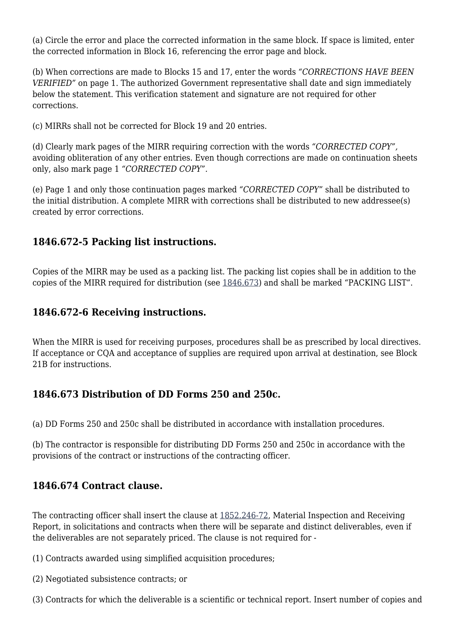(a) Circle the error and place the corrected information in the same block. If space is limited, enter the corrected information in Block 16, referencing the error page and block.

(b) When corrections are made to Blocks 15 and 17, enter the words *"CORRECTIONS HAVE BEEN VERIFIED"* on page 1. The authorized Government representative shall date and sign immediately below the statement. This verification statement and signature are not required for other corrections.

(c) MIRRs shall not be corrected for Block 19 and 20 entries.

(d) Clearly mark pages of the MIRR requiring correction with the words *"CORRECTED COPY",* avoiding obliteration of any other entries. Even though corrections are made on continuation sheets only, also mark page 1 *"CORRECTED COPY".*

(e) Page 1 and only those continuation pages marked *"CORRECTED COPY"* shall be distributed to the initial distribution. A complete MIRR with corrections shall be distributed to new addressee(s) created by error corrections.

### **1846.672-5 Packing list instructions.**

Copies of the MIRR may be used as a packing list. The packing list copies shall be in addition to the copies of the MIRR required for distribution (see [1846.673\)](https://login.acquisition.gov/%5Brp:link:nfs-part-1846%5D#Section_1846_673_T48_60422394115) and shall be marked "PACKING LIST".

#### **1846.672-6 Receiving instructions.**

When the MIRR is used for receiving purposes, procedures shall be as prescribed by local directives. If acceptance or CQA and acceptance of supplies are required upon arrival at destination, see Block 21B for instructions.

# **1846.673 Distribution of DD Forms 250 and 250c.**

(a) DD Forms 250 and 250c shall be distributed in accordance with installation procedures.

(b) The contractor is responsible for distributing DD Forms 250 and 250c in accordance with the provisions of the contract or instructions of the contracting officer.

# **1846.674 Contract clause.**

The contracting officer shall insert the clause at [1852.246-72,](https://login.acquisition.gov/%5Brp:link:nfs-part-1852%5D#Section_1852_246_72_T48_604234411134) Material Inspection and Receiving Report, in solicitations and contracts when there will be separate and distinct deliverables, even if the deliverables are not separately priced. The clause is not required for -

- (1) Contracts awarded using simplified acquisition procedures;
- (2) Negotiated subsistence contracts; or
- (3) Contracts for which the deliverable is a scientific or technical report. Insert number of copies and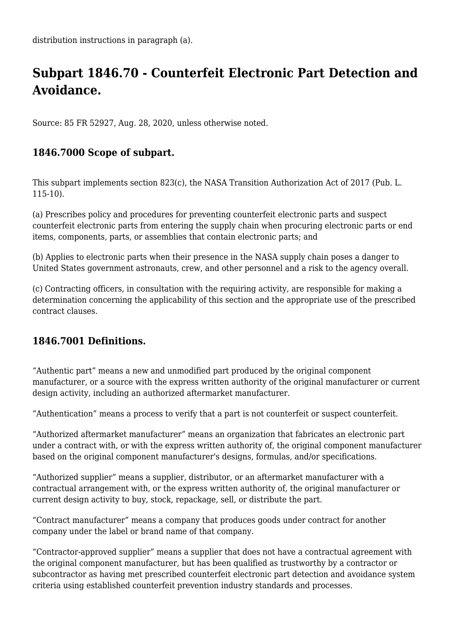# **Subpart 1846.70 - Counterfeit Electronic Part Detection and Avoidance.**

Source: 85 FR 52927, Aug. 28, 2020, unless otherwise noted.

# **1846.7000 Scope of subpart.**

This subpart implements section 823(c), the NASA Transition Authorization Act of 2017 (Pub. L. 115-10).

(a) Prescribes policy and procedures for preventing counterfeit electronic parts and suspect counterfeit electronic parts from entering the supply chain when procuring electronic parts or end items, components, parts, or assemblies that contain electronic parts; and

(b) Applies to electronic parts when their presence in the NASA supply chain poses a danger to United States government astronauts, crew, and other personnel and a risk to the agency overall.

(c) Contracting officers, in consultation with the requiring activity, are responsible for making a determination concerning the applicability of this section and the appropriate use of the prescribed contract clauses.

# **1846.7001 Definitions.**

"Authentic part" means a new and unmodified part produced by the original component manufacturer, or a source with the express written authority of the original manufacturer or current design activity, including an authorized aftermarket manufacturer.

"Authentication" means a process to verify that a part is not counterfeit or suspect counterfeit.

"Authorized aftermarket manufacturer" means an organization that fabricates an electronic part under a contract with, or with the express written authority of, the original component manufacturer based on the original component manufacturer's designs, formulas, and/or specifications.

"Authorized supplier" means a supplier, distributor, or an aftermarket manufacturer with a contractual arrangement with, or the express written authority of, the original manufacturer or current design activity to buy, stock, repackage, sell, or distribute the part.

"Contract manufacturer" means a company that produces goods under contract for another company under the label or brand name of that company.

"Contractor-approved supplier" means a supplier that does not have a contractual agreement with the original component manufacturer, but has been qualified as trustworthy by a contractor or subcontractor as having met prescribed counterfeit electronic part detection and avoidance system criteria using established counterfeit prevention industry standards and processes.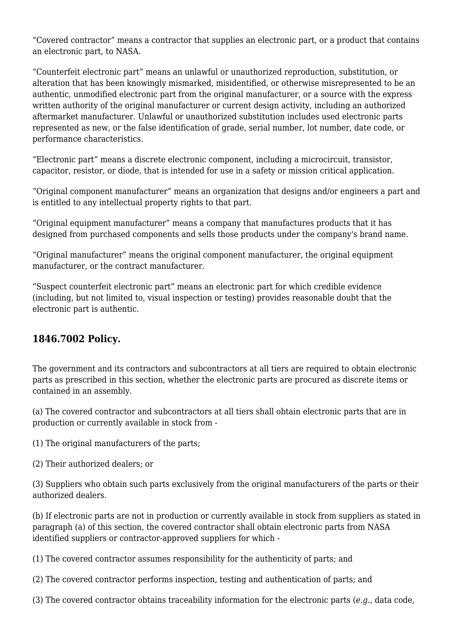"Covered contractor" means a contractor that supplies an electronic part, or a product that contains an electronic part, to NASA.

"Counterfeit electronic part" means an unlawful or unauthorized reproduction, substitution, or alteration that has been knowingly mismarked, misidentified, or otherwise misrepresented to be an authentic, unmodified electronic part from the original manufacturer, or a source with the express written authority of the original manufacturer or current design activity, including an authorized aftermarket manufacturer. Unlawful or unauthorized substitution includes used electronic parts represented as new, or the false identification of grade, serial number, lot number, date code, or performance characteristics.

"Electronic part" means a discrete electronic component, including a microcircuit, transistor, capacitor, resistor, or diode, that is intended for use in a safety or mission critical application.

"Original component manufacturer" means an organization that designs and/or engineers a part and is entitled to any intellectual property rights to that part.

"Original equipment manufacturer" means a company that manufactures products that it has designed from purchased components and sells those products under the company's brand name.

"Original manufacturer" means the original component manufacturer, the original equipment manufacturer, or the contract manufacturer.

"Suspect counterfeit electronic part" means an electronic part for which credible evidence (including, but not limited to, visual inspection or testing) provides reasonable doubt that the electronic part is authentic.

#### **1846.7002 Policy.**

The government and its contractors and subcontractors at all tiers are required to obtain electronic parts as prescribed in this section, whether the electronic parts are procured as discrete items or contained in an assembly.

(a) The covered contractor and subcontractors at all tiers shall obtain electronic parts that are in production or currently available in stock from -

(1) The original manufacturers of the parts;

(2) Their authorized dealers; or

(3) Suppliers who obtain such parts exclusively from the original manufacturers of the parts or their authorized dealers.

(b) If electronic parts are not in production or currently available in stock from suppliers as stated in paragraph (a) of this section, the covered contractor shall obtain electronic parts from NASA identified suppliers or contractor-approved suppliers for which -

(1) The covered contractor assumes responsibility for the authenticity of parts; and

(2) The covered contractor performs inspection, testing and authentication of parts; and

(3) The covered contractor obtains traceability information for the electronic parts (*e.g.,* data code,